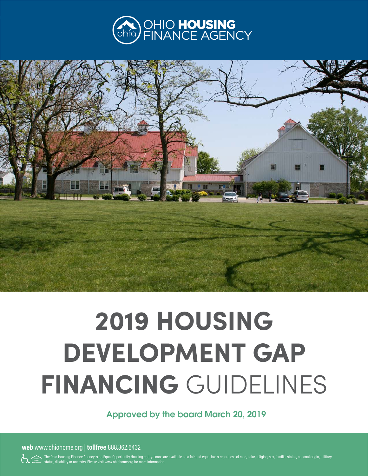



# **2019 HOUSING DEVELOPMENT GAP FINANCING** GUIDELINES

Approved by the board March 20, 2019

**web** www.ohiohome.org | **tollfree** 888.362.6432

 $\leftarrow$  The Ohio Housing Finance Agency is an Equal Opportunity Housing entity. Loans are available on a fair and equal basis regardless of race, color, religion, sex, familial status, national origin, military status, disability or ancestry. Please visit www.ohiohome.org for more information.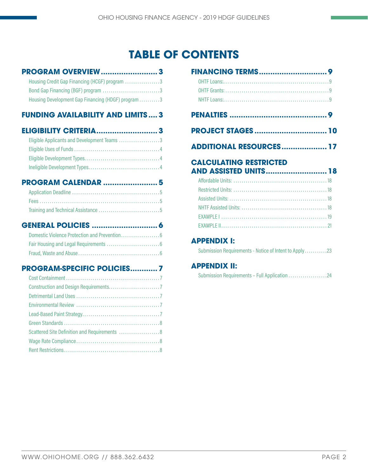# **TABLE OF CONTENTS**

### **[PROGRAM OVERVIEW.........................](#page-2-0) 3**

| Housing Credit Gap Financing (HCGF) program 3      |  |
|----------------------------------------------------|--|
| Bond Gap Financing (BGF) program 3                 |  |
| Housing Development Gap Financing (HDGF) program 3 |  |

### **[FUNDING AVAILABILITY AND LIMITS](#page-2-0) .... 3**

| Eligible Applicants and Development Teams 3 |  |
|---------------------------------------------|--|
| <b>Filmilate Head of Finance</b>            |  |

| <b>PROGRAM CALENDAR  5</b> |  |
|----------------------------|--|
|                            |  |
|                            |  |
|                            |  |

# **[GENERAL POLICIES](#page-5-0) ............................. 6**

# **[PROGRAM-SPECIFIC POLICIES............](#page-6-0) 7**

| Scattered Site Definition and Requirements  8 |
|-----------------------------------------------|
|                                               |
|                                               |

| <b>PROJECT STAGES  10</b>                                     |  |
|---------------------------------------------------------------|--|
| <b>ADDITIONAL RESOURCES 17</b>                                |  |
| <b>CALCULATING RESTRICTED</b><br><b>AND ASSISTED UNITS 18</b> |  |
|                                                               |  |
|                                                               |  |
|                                                               |  |
|                                                               |  |
|                                                               |  |
|                                                               |  |
| <b>APPENDIX I:</b>                                            |  |
| Submission Requirements - Notice of Intent to Apply23         |  |

# **APPENDIX II:**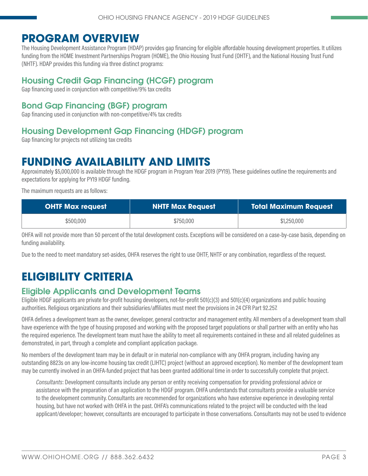# <span id="page-2-0"></span>**PROGRAM OVERVIEW**

The Housing Development Assistance Program (HDAP) provides gap financing for eligible affordable housing development properties. It utilizes funding from the HOME Investment Partnerships Program (HOME), the Ohio Housing Trust Fund (OHTF), and the National Housing Trust Fund (NHTF). HDAP provides this funding via three distinct programs:

# Housing Credit Gap Financing (HCGF) program

Gap financing used in conjunction with competitive/9% tax credits

# Bond Gap Financing (BGF) program

Gap financing used in conjunction with non-competitive/4% tax credits

# Housing Development Gap Financing (HDGF) program

Gap financing for projects not utilizing tax credits

# **FUNDING AVAILABILITY AND LIMITS**

Approximately \$5,000,000 is available through the HDGF program in Program Year 2019 (PY19). These guidelines outline the requirements and expectations for applying for PY19 HDGF funding.

The maximum requests are as follows:

| <b>OHTF Max request</b> | <b>NHTF Max Request</b> | <b>Total Maximum Request</b> |
|-------------------------|-------------------------|------------------------------|
| \$500,000               | \$750,000               | \$1,250,000                  |

OHFA will not provide more than 50 percent of the total development costs. Exceptions will be considered on a case-by-case basis, depending on funding availability.

Due to the need to meet mandatory set-asides, OHFA reserves the right to use OHTF, NHTF or any combination, regardless of the request.

# **ELIGIBILITY CRITERIA**

# Eligible Applicants and Development Teams

Eligible HDGF applicants are private for-profit housing developers, not-for-profit 501(c)(3) and 501(c)(4) organizations and public housing authorities. Religious organizations and their subsidiaries/affiliates must meet the provisions in 24 CFR Part 92.257.

OHFA defines a development team as the owner, developer, general contractor and management entity. All members of a development team shall have experience with the type of housing proposed and working with the proposed target populations or shall partner with an entity who has the required experience. The development team must have the ability to meet all requirements contained in these and all related guidelines as demonstrated, in part, through a complete and compliant application package.

No members of the development team may be in default or in material non-compliance with any OHFA program, including having any outstanding 8823s on any low-income housing tax credit (LIHTC) project (without an approved exception). No member of the development team may be currently involved in an OHFA-funded project that has been granted additional time in order to successfully complete that project.

*Consultants*: Development consultants include any person or entity receiving compensation for providing professional advice or assistance with the preparation of an application to the HDGF program. OHFA understands that consultants provide a valuable service to the development community. Consultants are recommended for organizations who have extensive experience in developing rental housing, but have not worked with OHFA in the past. OHFA's communications related to the project will be conducted with the lead applicant/developer; however, consultants are encouraged to participate in those conversations. Consultants may not be used to evidence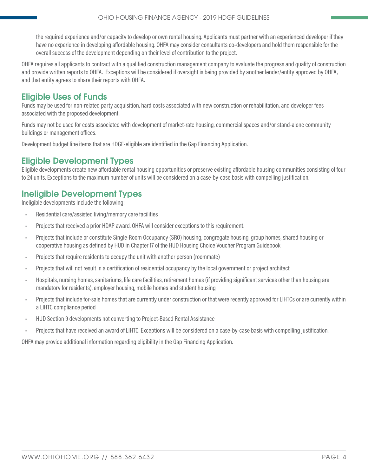<span id="page-3-0"></span>the required experience and/or capacity to develop or own rental housing. Applicants must partner with an experienced developer if they have no experience in developing affordable housing. OHFA may consider consultants co-developers and hold them responsible for the overall success of the development depending on their level of contribution to the project.

OHFA requires all applicants to contract with a qualified construction management company to evaluate the progress and quality of construction and provide written reports to OHFA. Exceptions will be considered if oversight is being provided by another lender/entity approved by OHFA, and that entity agrees to share their reports with OHFA.

# Eligible Uses of Funds

Funds may be used for non-related party acquisition, hard costs associated with new construction or rehabilitation, and developer fees associated with the proposed development.

Funds may not be used for costs associated with development of market-rate housing, commercial spaces and/or stand-alone community buildings or management offices.

Development budget line items that are HDGF-eligible are identified in the Gap Financing Application.

# Eligible Development Types

Eligible developments create new affordable rental housing opportunities or preserve existing affordable housing communities consisting of four to 24 units. Exceptions to the maximum number of units will be considered on a case-by-case basis with compelling justification.

# Ineligible Development Types

Ineligible developments include the following:

- Residential care/assisted living/memory care facilities
- Projects that received a prior HDAP award. OHFA will consider exceptions to this requirement.
- Projects that include or constitute Single-Room Occupancy (SRO) housing, congregate housing, group homes, shared housing or cooperative housing as defined by HUD in Chapter 17 of the HUD Housing Choice Voucher Program Guidebook
- Projects that require residents to occupy the unit with another person (roommate)
- Projects that will not result in a certification of residential occupancy by the local government or project architect
- Hospitals, nursing homes, sanitariums, life care facilities, retirement homes (if providing significant services other than housing are mandatory for residents), employer housing, mobile homes and student housing
- Projects that include for-sale homes that are currently under construction or that were recently approved for LIHTCs or are currently within a LIHTC compliance period
- HUD Section 9 developments not converting to Project-Based Rental Assistance
- Projects that have received an award of LIHTC. Exceptions will be considered on a case-by-case basis with compelling justification.

OHFA may provide additional information regarding eligibility in the Gap Financing Application.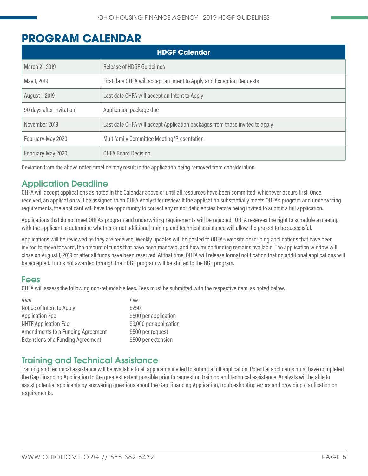# <span id="page-4-0"></span>**PROGRAM CALENDAR**

| <b>HDGF Calendar</b>     |                                                                             |  |
|--------------------------|-----------------------------------------------------------------------------|--|
| March 21, 2019           | Release of HDGF Guidelines                                                  |  |
| May 1, 2019              | First date OHFA will accept an Intent to Apply and Exception Requests       |  |
| August 1, 2019           | Last date OHFA will accept an Intent to Apply                               |  |
| 90 days after invitation | Application package due                                                     |  |
| November 2019            | Last date OHFA will accept Application packages from those invited to apply |  |
| February-May 2020        | <b>Multifamily Committee Meeting/Presentation</b>                           |  |
| February-May 2020        | <b>OHFA Board Decision</b>                                                  |  |

Deviation from the above noted timeline may result in the application being removed from consideration.

# Application Deadline

OHFA will accept applications as noted in the Calendar above or until all resources have been committed, whichever occurs first. Once received, an application will be assigned to an OHFA Analyst for review. If the application substantially meets OHFA's program and underwriting requirements, the applicant will have the opportunity to correct any minor deficiencies before being invited to submit a full application.

Applications that do not meet OHFA's program and underwriting requirements will be rejected. OHFA reserves the right to schedule a meeting with the applicant to determine whether or not additional training and technical assistance will allow the project to be successful.

Applications will be reviewed as they are received. Weekly updates will be posted to OHFA's website describing applications that have been invited to move forward, the amount of funds that have been reserved, and how much funding remains available. The application window will close on August 1, 2019 or after all funds have been reserved. At that time, OHFA will release formal notification that no additional applications will be accepted. Funds not awarded through the HDGF program will be shifted to the BGF program.

# Fees

OHFA will assess the following non-refundable fees. Fees must be submitted with the respective item, as noted below.

| <i>Item</i>                              | Fee                     |
|------------------------------------------|-------------------------|
| Notice of Intent to Apply                | \$250                   |
| <b>Application Fee</b>                   | \$500 per application   |
| <b>NHTF Application Fee</b>              | \$3,000 per application |
| Amendments to a Funding Agreement        | \$500 per request       |
| <b>Extensions of a Funding Agreement</b> | \$500 per extension     |

# Training and Technical Assistance

Training and technical assistance will be available to all applicants invited to submit a full application. Potential applicants must have completed the Gap Financing Application to the greatest extent possible prior to requesting training and technical assistance. Analysts will be able to assist potential applicants by answering questions about the Gap Financing Application, troubleshooting errors and providing clarification on requirements.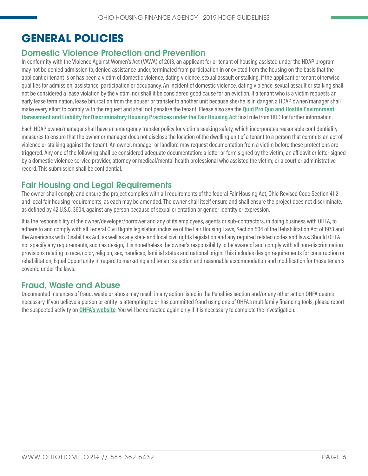# <span id="page-5-0"></span>**GENERAL POLICIES**

# Domestic Violence Protection and Prevention

In conformity with the Violence Against Women's Act (VAWA) of 2013, an applicant for or tenant of housing assisted under the HDAP program may not be denied admission to, denied assistance under, terminated from participation in or evicted from the housing on the basis that the applicant or tenant is or has been a victim of domestic violence, dating violence, sexual assault or stalking, if the applicant or tenant otherwise qualifies for admission, assistance, participation or occupancy. An incident of domestic violence, dating violence, sexual assault or stalking shall not be considered a lease violation by the victim, nor shall it be considered good cause for an eviction. If a tenant who is a victim requests an early lease termination, lease bifurcation from the abuser or transfer to another unit because she/he is in danger, a HDAP owner/manager shall make every effort to comply with the request and shall not penalize the tenant. Please also see the **[Quid Pro Quo and Hostile Environment](https://www.federalregister.gov/documents/2016/09/14/2016-21868/quid-pro-quo-and-hostile-environment-harassment-and-liability-for-discriminatory-housing-practices)  [Harassment and Liability for Discriminatory Housing Practices under the Fair Housing Act](https://www.federalregister.gov/documents/2016/09/14/2016-21868/quid-pro-quo-and-hostile-environment-harassment-and-liability-for-discriminatory-housing-practices)** final rule from HUD for further information.

Each HDAP owner/manager shall have an emergency transfer policy for victims seeking safety, which incorporates reasonable confidentiality measures to ensure that the owner or manager does not disclose the location of the dwelling unit of a tenant to a person that commits an act of violence or stalking against the tenant. An owner, manager or landlord may request documentation from a victim before these protections are triggered. Any one of the following shall be considered adequate documentation: a letter or form signed by the victim; an affidavit or letter signed by a domestic violence service provider, attorney or medical/mental health professional who assisted the victim; or a court or administrative record. This submission shall be confidential.

# Fair Housing and Legal Requirements

The owner shall comply and ensure the project complies with all requirements of the federal Fair Housing Act, Ohio Revised Code Section 4112 and local fair housing requirements, as each may be amended. The owner shall itself ensure and shall ensure the project does not discriminate, as defined by 42 U.S.C. 3604, against any person because of sexual orientation or gender identity or expression.

It is the responsibility of the owner/developer/borrower and any of its employees, agents or sub-contractors, in doing business with OHFA, to adhere to and comply with all Federal Civil Rights legislation inclusive of the Fair Housing Laws, Section 504 of the Rehabilitation Act of 1973 and the Americans with Disabilities Act, as well as any state and local civil rights legislation and any required related codes and laws. Should OHFA not specify any requirements, such as design, it is nonetheless the owner's responsibility to be aware of and comply with all non-discrimination provisions relating to race, color, religion, sex, handicap, familial status and national origin. This includes design requirements for construction or rehabilitation, Equal Opportunity in regard to marketing and tenant selection and reasonable accommodation and modification for those tenants covered under the laws.

# Fraud, Waste and Abuse

Documented instances of fraud, waste or abuse may result in any action listed in the Penalties section and/or any other action OHFA deems necessary. If you believe a person or entity is attempting to or has committed fraud using one of OHFA's multifamily financing tools, please report the suspected activity on **[OHFA's website](http://ohiohome.org/ppd/fraud/PPD_Fraud.aspx)**. You will be contacted again only if it is necessary to complete the investigation.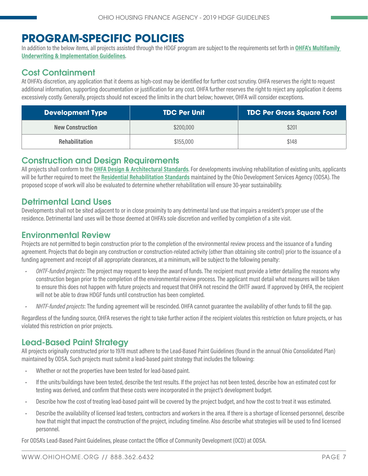# <span id="page-6-0"></span>**PROGRAM-SPECIFIC POLICIES**

In addition to the below items, all projects assisted through the HDGF program are subject to the requirements set forth in **[OHFA's Multifamily](http://ohiohome.org/ppd/documents/2018-2019-MF-UnderwritingGuidelines.pdf)  [Underwriting & Implementation Guidelines](http://ohiohome.org/ppd/documents/2018-2019-MF-UnderwritingGuidelines.pdf)**.

# Cost Containment

At OHFA's discretion, any application that it deems as high-cost may be identified for further cost scrutiny. OHFA reserves the right to request additional information, supporting documentation or justification for any cost. OHFA further reserves the right to reject any application it deems excessively costly. Generally, projects should not exceed the limits in the chart below; however, OHFA will consider exceptions.

| Development Type        | <b>TDC Per Unit</b> | <b>TDC Per Gross Square Foot</b> |
|-------------------------|---------------------|----------------------------------|
| <b>New Construction</b> | \$200,000           | \$201                            |
| <b>Rehabilitation</b>   | \$155,000           | \$148                            |

# Construction and Design Requirements

All projects shall conform to the **[OHFA Design & Architectural Standards](http://ohiohome.org/ppd/documents/2018-2019-ArchitecturalStandards.pdf)**. For developments involving rehabilitation of existing units, applicants will be further required to meet the **[Residential Rehabilitation Standards](https://www.development.ohio.gov/files/cs/Residential Rehabilitation Standards and Commentary October 2014.pdf)** maintained by the Ohio Development Services Agency (ODSA). The proposed scope of work will also be evaluated to determine whether rehabilitation will ensure 30-year sustainability.

# Detrimental Land Uses

Developments shall not be sited adjacent to or in close proximity to any detrimental land use that impairs a resident's proper use of the residence. Detrimental land uses will be those deemed at OHFA's sole discretion and verified by completion of a site visit.

# Environmental Review

Projects are not permitted to begin construction prior to the completion of the environmental review process and the issuance of a funding agreement. Projects that do begin any construction or construction-related activity (other than obtaining site control) prior to the issuance of a funding agreement and receipt of all appropriate clearances, at a minimum, will be subject to the following penalty:

- *• OHTF-funded projects*: The project may request to keep the award of funds. The recipient must provide a letter detailing the reasons why construction began prior to the completion of the environmental review process. The applicant must detail what measures will be taken to ensure this does not happen with future projects and request that OHFA not rescind the OHTF award. If approved by OHFA, the recipient will not be able to draw HDGF funds until construction has been completed.
- *• NHTF-funded projects*: The funding agreement will be rescinded. OHFA cannot guarantee the availability of other funds to fill the gap.

Regardless of the funding source, OHFA reserves the right to take further action if the recipient violates this restriction on future projects, or has violated this restriction on prior projects.

# Lead-Based Paint Strategy

All projects originally constructed prior to 1978 must adhere to the Lead-Based Paint Guidelines (found in the annual Ohio Consolidated Plan) maintained by ODSA. Such projects must submit a lead-based paint strategy that includes the following:

- Whether or not the properties have been tested for lead-based paint.
- If the units/buildings have been tested, describe the test results. If the project has not been tested, describe how an estimated cost for testing was derived, and confirm that these costs were incorporated in the project's development budget.
- Describe how the cost of treating lead-based paint will be covered by the project budget, and how the cost to treat it was estimated.
- Describe the availability of licensed lead testers, contractors and workers in the area. If there is a shortage of licensed personnel, describe how that might that impact the construction of the project, including timeline. Also describe what strategies will be used to find licensed personnel.

For ODSA's Lead-Based Paint Guidelines, please contact the Office of Community Development (OCD) at ODSA.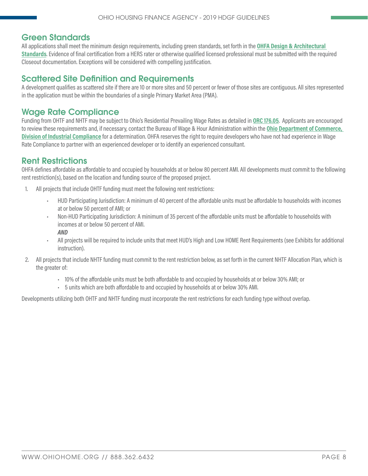# <span id="page-7-0"></span>Green Standards

All applications shall meet the minimum design requirements, including green standards, set forth in the **[OHFA Design & Architectural](http://ohiohome.org/ppd/documents/2018-2019-ArchitecturalStandards.pdf)  [Standards](http://ohiohome.org/ppd/documents/2018-2019-ArchitecturalStandards.pdf)**. Evidence of final certification from a HERS rater or otherwise qualified licensed professional must be submitted with the required Closeout documentation. Exceptions will be considered with compelling justification.

# Scattered Site Definition and Requirements

A development qualifies as scattered site if there are 10 or more sites and 50 percent or fewer of those sites are contiguous. All sites represented in the application must be within the boundaries of a single Primary Market Area (PMA).

# Wage Rate Compliance

Funding from OHTF and NHTF may be subject to Ohio's Residential Prevailing Wage Rates as detailed in **[ORC 176.05](http://codes.ohio.gov/orc/176.05)**. Applicants are encouraged to review these requirements and, if necessary, contact the Bureau of Wage & Hour Administration within the **[Ohio Department of Commerce,](https://www.com.ohio.gov/dico/default.aspx)  [Division of Industrial Compliance](https://www.com.ohio.gov/dico/default.aspx)** for a determination. OHFA reserves the right to require developers who have not had experience in Wage Rate Compliance to partner with an experienced developer or to identify an experienced consultant.

# Rent Restrictions

OHFA defines affordable as affordable to and occupied by households at or below 80 percent AMI. All developments must commit to the following rent restriction(s), based on the location and funding source of the proposed project.

- All projects that include OHTF funding must meet the following rent restrictions:
	- HUD Participating Jurisdiction: A minimum of 40 percent of the affordable units must be affordable to households with incomes at or below 50 percent of AMI; or
	- Non-HUD Participating Jurisdiction: A minimum of 35 percent of the affordable units must be affordable to households with incomes at or below 50 percent of AMI. *AND*
	- All projects will be required to include units that meet HUD's High and Low HOME Rent Requirements (see Exhibits for additional instruction).
- 2. All projects that include NHTF funding must commit to the rent restriction below, as set forth in the current NHTF Allocation Plan, which is the greater of:
	- 10% of the affordable units must be both affordable to and occupied by households at or below 30% AMI; or
	- 5 units which are both affordable to and occupied by households at or below 30% AMI.

Developments utilizing both OHTF and NHTF funding must incorporate the rent restrictions for each funding type without overlap.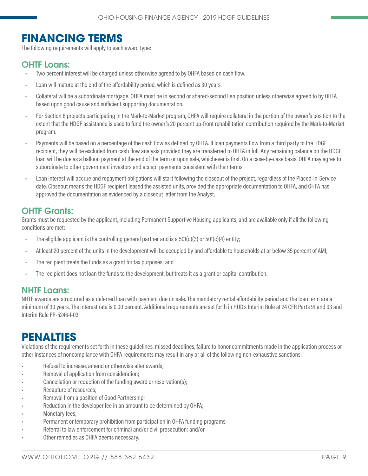# <span id="page-8-0"></span>**FINANCING TERMS**

The following requirements will apply to each award type:

# OHTF Loans:

- Two percent interest will be charged unless otherwise agreed to by OHFA based on cash flow.
- Loan will mature at the end of the affordability period, which is defined as 30 years.
- Collateral will be a subordinate mortgage. OHFA must be in second or shared-second lien position unless otherwise agreed to by OHFA based upon good cause and sufficient supporting documentation.
- For Section 8 projects participating in the Mark-to-Market program, OHFA will require collateral in the portion of the owner's position to the extent that the HDGF assistance is used to fund the owner's 20 percent up-front rehabilitation contribution required by the Mark-to-Market program.
- Payments will be based on a percentage of the cash flow as defined by OHFA. If loan payments flow from a third party to the HDGF recipient, they will be excluded from cash flow analysis provided they are transferred to OHFA in full. Any remaining balance on the HDGF loan will be due as a balloon payment at the end of the term or upon sale, whichever is first. On a case-by-case basis, OHFA may agree to subordinate to other government investors and accept payments consistent with their terms.
- Loan interest will accrue and repayment obligations will start following the closeout of the project, regardless of the Placed-in-Service date. Closeout means the HDGF recipient leased the assisted units, provided the appropriate documentation to OHFA, and OHFA has approved the documentation as evidenced by a closeout letter from the Analyst.

# **OHTF Grants:**

Grants must be requested by the applicant, including Permanent Supportive Housing applicants, and are available only if all the following conditions are met:

- The eligible applicant is the controlling general partner and is a  $501(c)(3)$  or  $501(c)(4)$  entity;
- At least 20 percent of the units in the development will be occupied by and affordable to households at or below 35 percent of AMI;
- The recipient treats the funds as a grant for tax purposes; and
- The recipient does not loan the funds to the development, but treats it as a grant or capital contribution.

### NHTF Loans:

NHTF awards are structured as a deferred loan with payment due on sale. The mandatory rental affordability period and the loan term are a minimum of 30 years. The interest rate is 0.00 percent. Additional requirements are set forth in HUD's Interim Rule at 24 CFR Parts 91 and 93 and Interim Rule FR-5246-I-03.

# **PENALTIES**

Violations of the requirements set forth in these guidelines, missed deadlines, failure to honor commitments made in the application process or other instances of noncompliance with OHFA requirements may result in any or all of the following non-exhaustive sanctions:

- Refusal to increase, amend or otherwise alter awards;
- Removal of application from consideration;
- Cancellation or reduction of the funding award or reservation(s);
- Recapture of resources;
- Removal from a position of Good Partnership;
- Reduction in the developer fee in an amount to be determined by OHFA;
- Monetary fees;
- Permanent or temporary prohibition from participation in OHFA funding programs;
- Referral to law enforcement for criminal and/or civil prosecution; and/or
- Other remedies as OHFA deems necessary.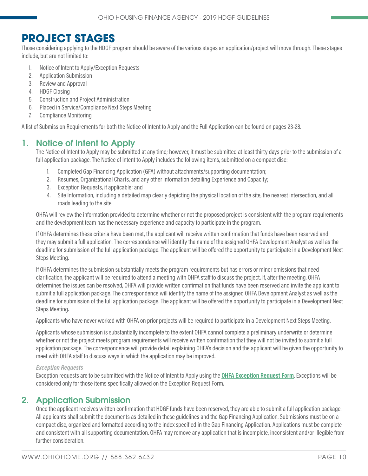# <span id="page-9-0"></span>**PROJECT STAGES**

Those considering applying to the HDGF program should be aware of the various stages an application/project will move through. These stages include, but are not limited to:

- 1. Notice of Intent to Apply/Exception Requests
- 2. Application Submission
- 3. Review and Approval
- 4. HDGF Closing
- 5. Construction and Project Administration
- 6. Placed in Service/Compliance Next Steps Meeting
- 7. Compliance Monitoring

A list of Submission Requirements for both the Notice of Intent to Apply and the Full Application can be found on pages 23-28.

### 1. Notice of Intent to Apply

The Notice of Intent to Apply may be submitted at any time; however, it must be submitted at least thirty days prior to the submission of a full application package. The Notice of Intent to Apply includes the following items, submitted on a compact disc:

- 1. Completed Gap Financing Application (GFA) without attachments/supporting documentation;
- 2. Resumes, Organizational Charts, and any other information detailing Experience and Capacity;
- 3. Exception Requests, if applicable; and
- 4. Site Information, including a detailed map clearly depicting the physical location of the site, the nearest intersection, and all roads leading to the site.

OHFA will review the information provided to determine whether or not the proposed project is consistent with the program requirements and the development team has the necessary experience and capacity to participate in the program.

If OHFA determines these criteria have been met, the applicant will receive written confirmation that funds have been reserved and they may submit a full application. The correspondence will identify the name of the assigned OHFA Development Analyst as well as the deadline for submission of the full application package. The applicant will be offered the opportunity to participate in a Development Next Steps Meeting.

If OHFA determines the submission substantially meets the program requirements but has errors or minor omissions that need clarification, the applicant will be required to attend a meeting with OHFA staff to discuss the project. If, after the meeting, OHFA determines the issues can be resolved, OHFA will provide written confirmation that funds have been reserved and invite the applicant to submit a full application package. The correspondence will identify the name of the assigned OHFA Development Analyst as well as the deadline for submission of the full application package. The applicant will be offered the opportunity to participate in a Development Next Steps Meeting.

Applicants who have never worked with OHFA on prior projects will be required to participate in a Development Next Steps Meeting.

Applicants whose submission is substantially incomplete to the extent OHFA cannot complete a preliminary underwrite or determine whether or not the project meets program requirements will receive written confirmation that they will not be invited to submit a full application package. The correspondence will provide detail explaining OHFA's decision and the applicant will be given the opportunity to meet with OHFA staff to discuss ways in which the application may be improved.

#### *Exception Requests*

Exception requests are to be submitted with the Notice of Intent to Apply using the **[OHFA Exception Request Form](http://ohiohome.org/ppd/documents/ExceptionRequestForm.docx)**. Exceptions will be considered only for those items specifically allowed on the Exception Request Form.

### 2. Application Submission

Once the applicant receives written confirmation that HDGF funds have been reserved, they are able to submit a full application package. All applicants shall submit the documents as detailed in these guidelines and the Gap Financing Application. Submissions must be on a compact disc, organized and formatted according to the index specified in the Gap Financing Application. Applications must be complete and consistent with all supporting documentation. OHFA may remove any application that is incomplete, inconsistent and/or illegible from further consideration.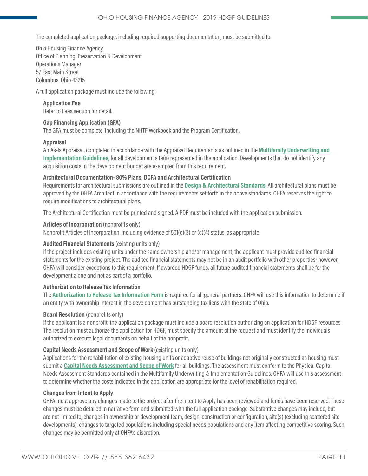The completed application package, including required supporting documentation, must be submitted to:

Ohio Housing Finance Agency Office of Planning, Preservation & Development Operations Manager 57 East Main Street Columbus, Ohio 43215

A full application package must include the following:

#### **Application Fee**

Refer to Fees section for detail.

#### **Gap Financing Application (GFA)**

The GFA must be complete, including the NHTF Workbook and the Program Certification.

#### **Appraisal**

An As-Is Appraisal, completed in accordance with the Appraisal Requirements as outlined in the **[Multifamily Underwriting and](http://ohiohome.org/ppd/documents/2018-2019-MF-UnderwritingGuidelines.pdf)  [Implementation Guidelines](http://ohiohome.org/ppd/documents/2018-2019-MF-UnderwritingGuidelines.pdf)**, for all development site(s) represented in the application. Developments that do not identify any acquisition costs in the development budget are exempted from this requirement.

#### **Architectural Documentation- 80% Plans, DCFA and Architectural Certification**

Requirements for architectural submissions are outlined in the **[Design & Architectural Standards](http://ohiohome.org/ppd/documents/2018-2019-ArchitecturalStandards.pdf)**. All architectural plans must be approved by the OHFA Architect in accordance with the requirements set forth in the above standards. OHFA reserves the right to require modifications to architectural plans.

The Architectural Certification must be printed and signed. A PDF must be included with the application submission.

#### **Articles of Incorporation** (nonprofits only)

Nonprofit Articles of Incorporation, including evidence of 501(c)(3) or (c)(4) status, as appropriate.

#### **Audited Financial Statements** (existing units only)

If the project includes existing units under the same ownership and/or management, the applicant must provide audited financial statements for the existing project. The audited financial statements may not be in an audit portfolio with other properties; however, OHFA will consider exceptions to this requirement. If awarded HDGF funds, all future audited financial statements shall be for the development alone and not as part of a portfolio.

#### **Authorization to Release Tax Information**

The **[Authorization to Release Tax Information Form](http://ohiohome.org/ppd/documents/TaxReleaseAuthorization.pdf)** is required for all general partners. OHFA will use this information to determine if an entity with ownership interest in the development has outstanding tax liens with the state of Ohio.

#### **Board Resolution** (nonprofits only)

If the applicant is a nonprofit, the application package must include a board resolution authorizing an application for HDGF resources. The resolution must authorize the application for HDGF, must specify the amount of the request and must identify the individuals authorized to execute legal documents on behalf of the nonprofit.

#### **Capital Needs Assessment and Scope of Work** (existing units only)

Applications for the rehabilitation of existing housing units or adaptive reuse of buildings not originally constructed as housing must submit a **[Capital Needs Assessment and Scope of Work](http://ohiohome.org/ppd/documents/2018-2019-MF-UnderwritingGuidelines.pdf)** for all buildings. The assessment must conform to the Physical Capital Needs Assessment Standards contained in the Multifamily Underwriting & Implementation Guidelines. OHFA will use this assessment to determine whether the costs indicated in the application are appropriate for the level of rehabilitation required.

#### **Changes from Intent to Apply**

OHFA must approve any changes made to the project after the Intent to Apply has been reviewed and funds have been reserved. These changes must be detailed in narrative form and submitted with the full application package. Substantive changes may include, but are not limited to, changes in ownership or development team, design, construction or configuration, site(s) (excluding scattered site developments), changes to targeted populations including special needs populations and any item affecting competitive scoring. Such changes may be permitted only at OHFA's discretion.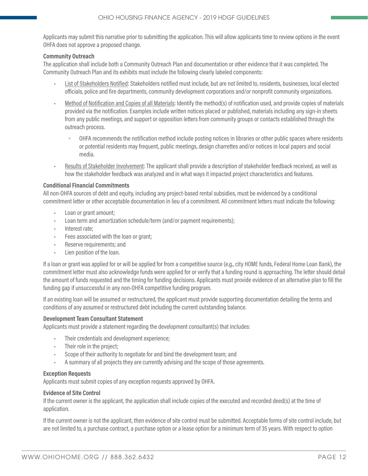Applicants may submit this narrative prior to submitting the application. This will allow applicants time to review options in the event OHFA does not approve a proposed change.

#### **Community Outreach**

The application shall include both a Community Outreach Plan and documentation or other evidence that it was completed. The Community Outreach Plan and its exhibits must include the following clearly labeled components:

- List of Stakeholders Notified: Stakeholders notified must include, but are not limited to, residents, businesses, local elected officials, police and fire departments, community development corporations and/or nonprofit community organizations.
- Method of Notification and Copies of all Materials: Identify the method(s) of notification used, and provide copies of materials provided via the notification. Examples include written notices placed or published, materials including any sign-in sheets from any public meetings, and support or opposition letters from community groups or contacts established through the outreach process.
	- OHFA recommends the notification method include posting notices in libraries or other public spaces where residents or potential residents may frequent, public meetings, design charrettes and/or notices in local papers and social media.
- Results of Stakeholder Involvement: The applicant shall provide a description of stakeholder feedback received, as well as how the stakeholder feedback was analyzed and in what ways it impacted project characteristics and features.

#### **Conditional Financial Commitments**

All non-OHFA sources of debt and equity, including any project-based rental subsidies, must be evidenced by a conditional commitment letter or other acceptable documentation in lieu of a commitment. All commitment letters must indicate the following:

- Loan or grant amount:
- Loan term and amortization schedule/term (and/or payment requirements);
- Interest rate;
- Fees associated with the loan or grant;
- Reserve requirements; and
- Lien position of the loan.

If a loan or grant was applied for or will be applied for from a competitive source (e.g., city HOME funds, Federal Home Loan Bank), the commitment letter must also acknowledge funds were applied for or verify that a funding round is approaching. The letter should detail the amount of funds requested and the timing for funding decisions. Applicants must provide evidence of an alternative plan to fill the funding gap if unsuccessful in any non-OHFA competitive funding program.

If an existing loan will be assumed or restructured, the applicant must provide supporting documentation detailing the terms and conditions of any assumed or restructured debt including the current outstanding balance.

#### **Development Team Consultant Statement**

Applicants must provide a statement regarding the development consultant(s) that includes:

- Their credentials and development experience;
- Their role in the project;
- Scope of their authority to negotiate for and bind the development team; and
- A summary of all projects they are currently advising and the scope of those agreements.

#### **Exception Requests**

Applicants must submit copies of any exception requests approved by OHFA.

#### **Evidence of Site Control**

If the current owner is the applicant, the application shall include copies of the executed and recorded deed(s) at the time of application.

If the current owner is not the applicant, then evidence of site control must be submitted. Acceptable forms of site control include, but are not limited to, a purchase contract, a purchase option or a lease option for a minimum term of 35 years. With respect to option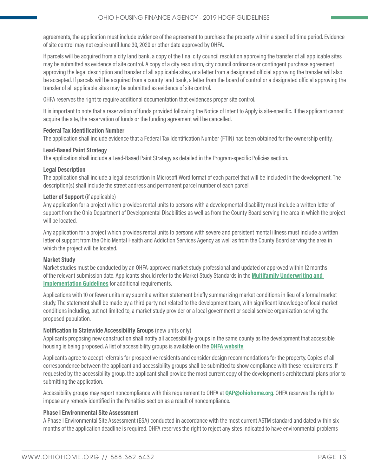agreements, the application must include evidence of the agreement to purchase the property within a specified time period. Evidence of site control may not expire until June 30, 2020 or other date approved by OHFA.

If parcels will be acquired from a city land bank, a copy of the final city council resolution approving the transfer of all applicable sites may be submitted as evidence of site control. A copy of a city resolution, city council ordinance or contingent purchase agreement approving the legal description and transfer of all applicable sites, or a letter from a designated official approving the transfer will also be accepted. If parcels will be acquired from a county land bank, a letter from the board of control or a designated official approving the transfer of all applicable sites may be submitted as evidence of site control.

OHFA reserves the right to require additional documentation that evidences proper site control.

It is important to note that a reservation of funds provided following the Notice of Intent to Apply is site-specific. If the applicant cannot acquire the site, the reservation of funds or the funding agreement will be cancelled.

#### **Federal Tax Identification Number**

The application shall include evidence that a Federal Tax Identification Number (FTIN) has been obtained for the ownership entity.

#### **Lead-Based Paint Strategy**

The application shall include a Lead-Based Paint Strategy as detailed in the Program-specific Policies section.

#### **Legal Description**

The application shall include a legal description in Microsoft Word format of each parcel that will be included in the development. The description(s) shall include the street address and permanent parcel number of each parcel.

#### Letter of Support (if applicable)

Any application for a project which provides rental units to persons with a developmental disability must include a written letter of support from the Ohio Department of Developmental Disabilities as well as from the County Board serving the area in which the project will be located.

Any application for a project which provides rental units to persons with severe and persistent mental illness must include a written letter of support from the Ohio Mental Health and Addiction Services Agency as well as from the County Board serving the area in which the project will be located.

#### **Market Study**

Market studies must be conducted by an OHFA-approved market study professional and updated or approved within 12 months of the relevant submission date. Applicants should refer to the Market Study Standards in the **[Multifamily Underwriting and](http://ohiohome.org/ppd/documents/2018-2019-MF-UnderwritingGuidelines.pdf)  [Implementation Guidelines](http://ohiohome.org/ppd/documents/2018-2019-MF-UnderwritingGuidelines.pdf)** for additional requirements.

Applications with 10 or fewer units may submit a written statement briefly summarizing market conditions in lieu of a formal market study. The statement shall be made by a third party not related to the development team, with significant knowledge of local market conditions including, but not limited to, a market study provider or a local government or social service organization serving the proposed population.

#### **Notification to Statewide Accessibility Groups** (new units only)

Applicants proposing new construction shall notify all accessibility groups in the same county as the development that accessible housing is being proposed. A list of accessibility groups is available on the **[OHFA website](https://ohiohome.org/ppd/data.aspx)**.

Applicants agree to accept referrals for prospective residents and consider design recommendations for the property. Copies of all correspondence between the applicant and accessibility groups shall be submitted to show compliance with these requirements. If requested by the accessibility group, the applicant shall provide the most current copy of the development's architectural plans prior to submitting the application.

Accessibility groups may report noncompliance with this requirement to OHFA at **[QAP@ohiohome.org](mailto:QAP%40ohiohome.org?subject=)**. OHFA reserves the right to impose any remedy identified in the Penalties section as a result of noncompliance.

#### **Phase I Environmental Site Assessment**

A Phase I Environmental Site Assessment (ESA) conducted in accordance with the most current ASTM standard and dated within six months of the application deadline is required. OHFA reserves the right to reject any sites indicated to have environmental problems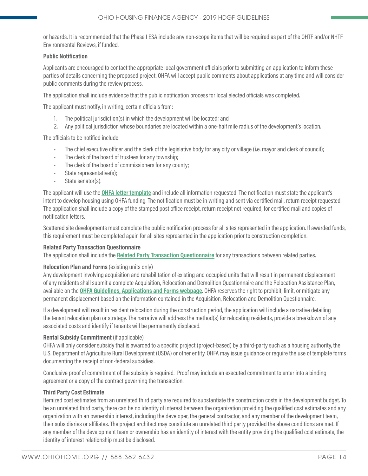or hazards. It is recommended that the Phase I ESA include any non-scope items that will be required as part of the OHTF and/or NHTF Environmental Reviews, if funded.

#### **Public Notification**

Applicants are encouraged to contact the appropriate local government officials prior to submitting an application to inform these parties of details concerning the proposed project. OHFA will accept public comments about applications at any time and will consider public comments during the review process.

The application shall include evidence that the public notification process for local elected officials was completed.

The applicant must notify, in writing, certain officials from:

- 1. The political jurisdiction(s) in which the development will be located; and
- 2. Any political jurisdiction whose boundaries are located within a one-half mile radius of the development's location.

The officials to be notified include:

- The chief executive officer and the clerk of the legislative body for any city or village (i.e. mayor and clerk of council);
- The clerk of the board of trustees for any township;
- The clerk of the board of commissioners for any county;
- State representative(s);
- State senator(s).

The applicant will use the **[OHFA letter template](https://ohiohome.org/ppd/documents/PublicNotificationTemplate.doc)** and include all information requested. The notification must state the applicant's intent to develop housing using OHFA funding. The notification must be in writing and sent via certified mail, return receipt requested. The application shall include a copy of the stamped post office receipt, return receipt not required, for certified mail and copies of notification letters.

Scattered site developments must complete the public notification process for all sites represented in the application. If awarded funds, this requirement must be completed again for all sites represented in the application prior to construction completion.

#### **Related Party Transaction Questionnaire**

The application shall include the **[Related Party Transaction Questionnaire](https://ohiohome.org/ppd/documents/RelatedPartyTransactionQuestionnaire.pdf)** for any transactions between related parties.

#### **Relocation Plan and Forms** (existing units only)

Any development involving acquisition and rehabilitation of existing and occupied units that will result in permanent displacement of any residents shall submit a complete Acquisition, Relocation and Demolition Questionnaire and the Relocation Assistance Plan, available on the **[OHFA Guidelines, Applications and Forms webpage](http://ohiohome.org/ppd/resources.aspx)**. OHFA reserves the right to prohibit, limit, or mitigate any permanent displacement based on the information contained in the Acquisition, Relocation and Demolition Questionnaire.

If a development will result in resident relocation during the construction period, the application will include a narrative detailing the tenant relocation plan or strategy. The narrative will address the method(s) for relocating residents, provide a breakdown of any associated costs and identify if tenants will be permanently displaced.

#### **Rental Subsidy Commitment** (if applicable)

OHFA will only consider subsidy that is awarded to a specific project (project-based) by a third-party such as a housing authority, the U.S. Department of Agriculture Rural Development (USDA) or other entity. OHFA may issue guidance or require the use of template forms documenting the receipt of non-federal subsidies.

Conclusive proof of commitment of the subsidy is required. Proof may include an executed commitment to enter into a binding agreement or a copy of the contract governing the transaction.

#### **Third Party Cost Estimate**

Itemized cost estimates from an unrelated third party are required to substantiate the construction costs in the development budget. To be an unrelated third party, there can be no identity of interest between the organization providing the qualified cost estimates and any organization with an ownership interest, including the developer, the general contractor, and any member of the development team, their subsidiaries or affiliates. The project architect may constitute an unrelated third party provided the above conditions are met. If any member of the development team or ownership has an identity of interest with the entity providing the qualified cost estimate, the identity of interest relationship must be disclosed.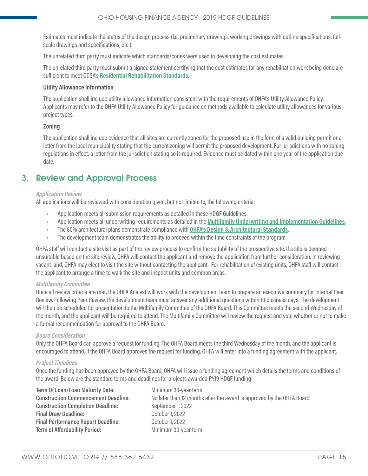Estimates must indicate the status of the design process (i.e. preliminary drawings, working drawings with outline specifications, fullscale drawings and specifications, etc.).

The unrelated third party must indicate which standards/codes were used in developing the cost estimates.

The unrelated third party must submit a signed statement certifying that the cost estimates for any rehabilitation work being done are sufficient to meet ODSA's **[Residential Rehabilitation Standards](https://development.ohio.gov/files/cs/RRS and Commentary December 2014.pdf)**.

#### **Utility Allowance Information**

The application shall include utility allowance information consistent with the requirements of OHFA's Utility Allowance Policy. Applicants may refer to the OHFA Utility Allowance Policy for guidance on methods available to calculate utility allowances for various project types.

#### **Zoning**

The application shall include evidence that all sites are currently zoned for the proposed use in the form of a valid building permit or a letter from the local municipality stating that the current zoning will permit the proposed development. For jurisdictions with no zoning regulations in effect, a letter from the jurisdiction stating so is required. Evidence must be dated within one year of the application due date.

# 3. Review and Approval Process

#### *Application Review*

All applications will be reviewed with consideration given, but not limited to, the following criteria:

- Application meets all submission requirements as detailed in these HDGF Guidelines.
- Application meets all underwriting requirements as detailed in the **[Multifamily Underwriting and Implementation Guidelines](http://ohiohome.org/ppd/documents/2018-2019-MF-UnderwritingGuidelines.pdf)**.
- The 80% architectural plans demonstrate compliance with **[OHFA's Design & Architectural Standards](http://ohiohome.org/ppd/documents/2018-2019-ArchitecturalStandards.pdf)**.
- The development team demonstrates the ability to proceed within the time constraints of the program.

OHFA staff will conduct a site visit as part of the review process to confirm the suitability of the prospective site. If a site is deemed unsuitable based on the site review, OHFA will contact the applicant and remove the application from further consideration. In reviewing vacant land, OHFA may elect to visit the site without contacting the applicant. For rehabilitation of existing units, OHFA staff will contact the applicant to arrange a time to walk the site and inspect units and common areas.

#### *Multifamily Committee*

Once all review criteria are met, the OHFA Analyst will work with the development team to prepare an executive summary for internal Peer Review. Following Peer Review, the development team must answer any additional questions within 10 business days. The development will then be scheduled for presentation to the Multifamily Committee of the OHFA Board. This Committee meets the second Wednesday of the month, and the applicant will be required to attend. The Multifamily Committee will review the request and vote whether or not to make a formal recommendation for approval to the OHFA Board.

#### *Board Consideration*

Only the OHFA Board can approve a request for funding. The OHFA Board meets the third Wednesday of the month, and the applicant is encouraged to attend. If the OHFA Board approves the request for funding, OHFA will enter into a funding agreement with the applicant.

#### *Project Timelines*

Once the funding has been approved by the OHFA Board, OHFA will issue a funding agreement which details the terms and conditions of the award. Below are the standard terms and deadlines for projects awarded PY19 HDGF funding:

| <b>Term Of Loan/Loan Maturity Date:</b>    | Minin |
|--------------------------------------------|-------|
| <b>Construction Commencement Deadline:</b> | No la |
| <b>Construction Completion Deadline:</b>   | Septe |
| <b>Final Draw Deadline:</b>                | Octol |
| <b>Final Performance Report Deadline:</b>  | 0ctol |
| <b>Term of Affordability Period:</b>       | Minin |
|                                            |       |

num 30-year term ter than 12 months after the award is approved by the OHFA Board **Construction Completion Deadline:** September 1, 2022 **Final Draw Deadline:** October 1, 2022 **Final Performance Report Deadline:** October 1, 2022 **Term of Affordability Period:** Minimum 30-year term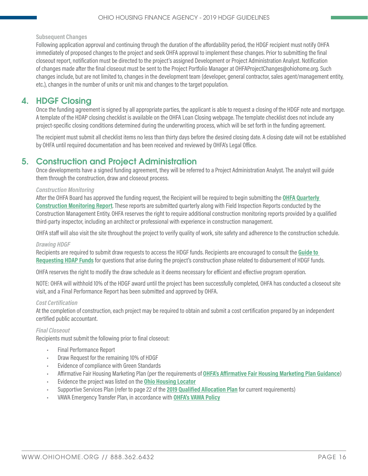**Subsequent Changes**

Following application approval and continuing through the duration of the affordability period, the HDGF recipient must notify OHFA immediately of proposed changes to the project and seek OHFA approval to implement these changes. Prior to submitting the final closeout report, notification must be directed to the project's assigned Development or Project Administration Analyst. Notification of changes made after the final closeout must be sent to the Project Portfolio Manager at OHFAProjectChanges@ohiohome.org. Such changes include, but are not limited to, changes in the development team (developer, general contractor, sales agent/management entity, etc.), changes in the number of units or unit mix and changes to the target population.

### 4. HDGF Closing

Once the funding agreement is signed by all appropriate parties, the applicant is able to request a closing of the HDGF note and mortgage. A template of the HDAP closing checklist is available on the OHFA Loan Closing webpage. The template checklist does not include any project-specific closing conditions determined during the underwriting process, which will be set forth in the funding agreement.

The recipient must submit all checklist items no less than thirty days before the desired closing date. A closing date will not be established by OHFA until required documentation and has been received and reviewed by OHFA's Legal Office.

### 5. Construction and Project Administration

Once developments have a signed funding agreement, they will be referred to a Project Administration Analyst. The analyst will guide them through the construction, draw and closeout process.

#### *Construction Monitoring*

After the OHFA Board has approved the funding request, the Recipient will be required to begin submitting the **[OHFA Quarterly](https://www.ohiohome.org/constmonitor/)  [Construction Monitoring Report](https://www.ohiohome.org/constmonitor/)**. These reports are submitted quarterly along with Field Inspection Reports conducted by the Construction Management Entity. OHFA reserves the right to require additional construction monitoring reports provided by a qualified third-party inspector, including an architect or professional with experience in construction management.

OHFA staff will also visit the site throughout the project to verify quality of work, site safety and adherence to the construction schedule.

#### *Drawing HDGF*

Recipients are required to submit draw requests to access the HDGF funds. Recipients are encouraged to consult the **[Guide to](http://ohiohome.org/ppd/documents/drawingHDAPguide.pdf)  [Requesting HDAP Funds](http://ohiohome.org/ppd/documents/drawingHDAPguide.pdf)** for questions that arise during the project's construction phase related to disbursement of HDGF funds.

OHFA reserves the right to modify the draw schedule as it deems necessary for efficient and effective program operation.

NOTE: OHFA will withhold 10% of the HDGF award until the project has been successfully completed, OHFA has conducted a closeout site visit, and a Final Performance Report has been submitted and approved by OHFA.

#### *Cost Certification*

At the completion of construction, each project may be required to obtain and submit a cost certification prepared by an independent certified public accountant.

#### *Final Closeout*

Recipients must submit the following prior to final closeout:

- Final Performance Report
- Draw Request for the remaining 10% of HDGF
- Evidence of compliance with Green Standards
- Affirmative Fair Housing Marketing Plan (per the requirements of **[OHFA's Affirmative Fair Housing Marketing Plan Guidance](https://ohiohome.org/compliance/documents/ECP-21-AFHMP-Guide.pdf)**)
- Evidence the project was listed on the **[Ohio Housing Locator](https://www.ohiohousinglocator.org/)**
- Supportive Services Plan (refer to page 22 of the **[2019 Qualified Allocation Plan](http://ohiohome.org/ppd/documents/2018-19-QAP-TechnicalRevisions.pdf)** for current requirements)
- VAWA Emergency Transfer Plan, in accordance with **[OHFA's VAWA Policy](https://ohiohome.org/compliance/CC/ViolenceAgainstWomenAct.htm)**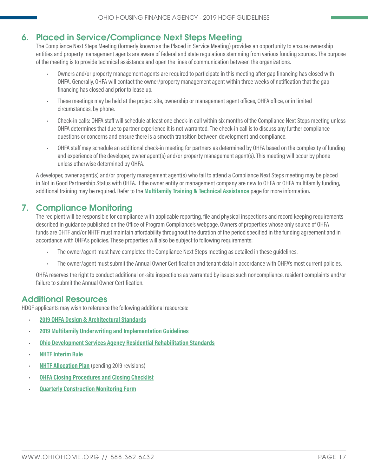# <span id="page-16-0"></span>6. Placed in Service/Compliance Next Steps Meeting

The Compliance Next Steps Meeting (formerly known as the Placed in Service Meeting) provides an opportunity to ensure ownership entities and property management agents are aware of federal and state regulations stemming from various funding sources. The purpose of the meeting is to provide technical assistance and open the lines of communication between the organizations.

- Owners and/or property management agents are required to participate in this meeting after gap financing has closed with OHFA. Generally, OHFA will contact the owner/property management agent within three weeks of notification that the gap financing has closed and prior to lease up.
- These meetings may be held at the project site, ownership or management agent offices, OHFA office, or in limited circumstances, by phone.
- Check-in calls: OHFA staff will schedule at least one check-in call within six months of the Compliance Next Steps meeting unless OHFA determines that due to partner experience it is not warranted. The check-in call is to discuss any further compliance questions or concerns and ensure there is a smooth transition between development and compliance.
- OHFA staff may schedule an additional check-in meeting for partners as determined by OHFA based on the complexity of funding and experience of the developer, owner agent(s) and/or property management agent(s). This meeting will occur by phone unless otherwise determined by OHFA.

A developer, owner agent(s) and/or property management agent(s) who fail to attend a Compliance Next Steps meeting may be placed in Not in Good Partnership Status with OHFA. If the owner entity or management company are new to OHFA or OHFA multifamily funding, additional training may be required. Refer to the **[Multifamily Training & Technical Assistance](http://ohiohome.org/multifamily/default.aspx)** page for more information.

# 7. Compliance Monitoring

The recipient will be responsible for compliance with applicable reporting, file and physical inspections and record keeping requirements described in guidance published on the Office of Program Compliance's webpage. Owners of properties whose only source of OHFA funds are OHTF and/or NHTF must maintain affordability throughout the duration of the period specified in the funding agreement and in accordance with OHFA's policies. These properties will also be subject to following requirements:

- The owner/agent must have completed the Compliance Next Steps meeting as detailed in these guidelines.
- The owner/agent must submit the Annual Owner Certification and tenant data in accordance with OHFA's most current policies.

OHFA reserves the right to conduct additional on-site inspections as warranted by issues such noncompliance, resident complaints and/or failure to submit the Annual Owner Certification.

### Additional Resources

HDGF applicants may wish to reference the following additional resources:

- **[2019 OHFA Design & Architectural Standards](http://ohiohome.org/ppd/documents/2018-2019-ArchitecturalStandards.pdf)**
- **[2019 Multifamily Underwriting and Implementation Guidelines](http://ohiohome.org/ppd/documents/2018-2019-MF-UnderwritingGuidelines.pdf)**
- **[Ohio Development Services Agency Residential Rehabilitation Standards](https://www.development.ohio.gov/files/cs/Residential Rehabilitation Standards and Commentary October 2014.pdf)**
- **[NHTF Interim Rule](https://www.hudexchange.info/resource/4406/housing-trust-fund-interim-rule/)**
- **[NHTF Allocation Plan](http://ohiohome.org/ppd/housingtrust.aspx)** (pending 2019 revisions)
- **[OHFA Closing Procedures and Closing Checklist](http://ohiohome.org/ppd/legal.aspx)**
- **[Quarterly Construction Monitoring Form](https://www.ohiohome.org/constmonitor/)**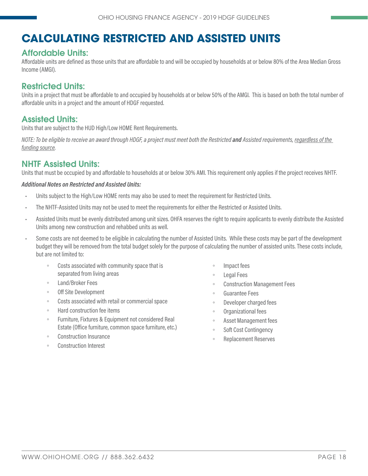# <span id="page-17-0"></span>**CALCULATING RESTRICTED AND ASSISTED UNITS**

# Affordable Units:

Affordable units are defined as those units that are affordable to and will be occupied by households at or below 80% of the Area Median Gross Income (AMGI).

# Restricted Units:

Units in a project that must be affordable to and occupied by households at or below 50% of the AMGI. This is based on both the total number of affordable units in a project and the amount of HDGF requested.

# Assisted Units:

Units that are subject to the HUD High/Low HOME Rent Requirements.

*NOTE: To be eligible to receive an award through HDGF, a project must meet both the Restricted and Assisted requirements, regardless of the funding source.*

# NHTF Assisted Units:

Units that must be occupied by and affordable to households at or below 30% AMI. This requirement only applies if the project receives NHTF.

#### *Additional Notes on Restricted and Assisted Units:*

- Units subject to the High/Low HOME rents may also be used to meet the requirement for Restricted Units.
- The NHTF-Assisted Units may not be used to meet the requirements for either the Restricted or Assisted Units.
- Assisted Units must be evenly distributed among unit sizes. OHFA reserves the right to require applicants to evenly distribute the Assisted Units among new construction and rehabbed units as well.
- Some costs are not deemed to be eligible in calculating the number of Assisted Units. While these costs may be part of the development budget they will be removed from the total budget solely for the purpose of calculating the number of assisted units. These costs include, but are not limited to:
	- Costs associated with community space that is separated from living areas
	- Land/Broker Fees
	- Off Site Development
	- Costs associated with retail or commercial space
	- Hard construction fee items
	- Furniture, Fixtures & Equipment not considered Real Estate (Office furniture, common space furniture, etc.)
	- Construction Insurance
	- Construction Interest
- Impact fees
- Legal Fees
- Construction Management Fees
- Guarantee Fees
- Developer charged fees
- Organizational fees
- Asset Management fees
- Soft Cost Contingency
- Replacement Reserves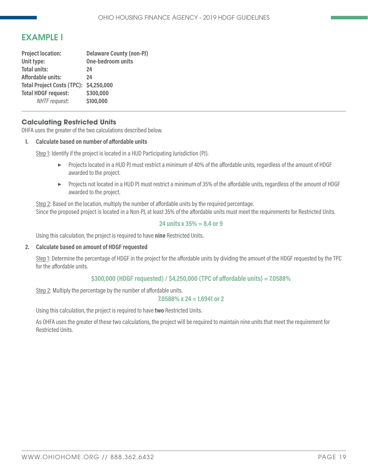# <span id="page-18-0"></span>EXAMPLE I

| <b>Delaware County (non-PJ)</b>        |
|----------------------------------------|
| One-bedroom units                      |
| 24                                     |
| 24                                     |
| Total Project Costs (TPC): \$4,250,000 |
| \$300,000                              |
| \$100,000                              |
|                                        |

#### **Calculating Restricted Units**

OHFA uses the greater of the two calculations described below.

#### **1. Calculate based on number of affordable units**

Step 1: Identify if the project is located in a HUD Participating Jurisdiction (PJ).

- ▶ Projects located in a HUD PJ must restrict a minimum of 40% of the affordable units, regardless of the amount of HDGF awarded to the project.
- ▶ Projects not located in a HUD PJ must restrict a minimum of 35% of the affordable units, regardless of the amount of HDGF awarded to the project.

Step 2: Based on the location, multiply the number of affordable units by the required percentage. Since the proposed project is located in a Non-PJ, at least 35% of the affordable units must meet the requirements for Restricted Units.

#### **24 units x 35% = 8.4 or 9**

Using this calculation, the project is required to have **nine** Restricted Units.

#### **2. Calculate based on amount of HDGF requested**

Step 1: Determine the percentage of HDGF in the project for the affordable units by dividing the amount of the HDGF requested by the TPC for the affordable units.

#### **\$300,000 (HDGF requested) / \$4,250,000 (TPC of affordable units) = 7.0588%**

Step 2: Multiply the percentage by the number of affordable units.

#### **7.0588% x 24 = 1.6941 or 2**

Using this calculation, the project is required to have **two** Restricted Units.

As OHFA uses the greater of these two calculations, the project will be required to maintain nine units that meet the requirement for Restricted Units.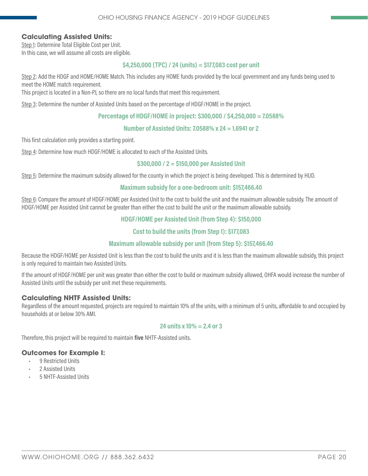#### **Calculating Assisted Units:**

Step 1: Determine Total Eligible Cost per Unit. In this case, we will assume all costs are eligible.

#### **\$4,250,000 (TPC) / 24 (units) = \$177,083 cost per unit**

Step 2: Add the HDGF and HOME/HOME Match. This includes any HOME funds provided by the local government and any funds being used to meet the HOME match requirement.

This project is located in a Non-PJ, so there are no local funds that meet this requirement.

Step 3: Determine the number of Assisted Units based on the percentage of HDGF/HOME in the project.

#### **Percentage of HDGF/HOME in project: \$300,000 / \$4,250,000 = 7.0588%**

#### **Number of Assisted Units: 7.0588% x 24 = 1.6941 or 2**

This first calculation only provides a starting point.

Step 4: Determine how much HDGF/HOME is allocated to each of the Assisted Units.

#### **\$300,000 / 2 = \$150,000 per Assisted Unit**

Step 5: Determine the maximum subsidy allowed for the county in which the project is being developed. This is determined by HUD.

#### **Maximum subsidy for a one-bedroom unit: \$157,466.40**

Step 6: Compare the amount of HDGF/HOME per Assisted Unit to the cost to build the unit and the maximum allowable subsidy. The amount of HDGF/HOME per Assisted Unit cannot be greater than either the cost to build the unit or the maximum allowable subsidy.

#### **HDGF/HOME per Assisted Unit (from Step 4): \$150,000**

#### **Cost to build the units (from Step 1): \$177,083**

#### **Maximum allowable subsidy per unit (from Step 5): \$157,466.40**

Because the HDGF/HOME per Assisted Unit is less than the cost to build the units and it is less than the maximum allowable subsidy, this project is only required to maintain two Assisted Units.

If the amount of HDGF/HOME per unit was greater than either the cost to build or maximum subsidy allowed, OHFA would increase the number of Assisted Units until the subsidy per unit met these requirements.

#### **Calculating NHTF Assisted Units:**

Regardless of the amount requested, projects are required to maintain 10% of the units, with a minimum of 5 units, affordable to and occupied by households at or below 30% AMI.

#### **24 units x 10% = 2.4 or 3**

Therefore, this project will be required to maintain **five** NHTF-Assisted units.

#### **Outcomes for Example I:**

- 9 Restricted Units
- 2 Assisted Units
- 5 NHTF-Assisted Units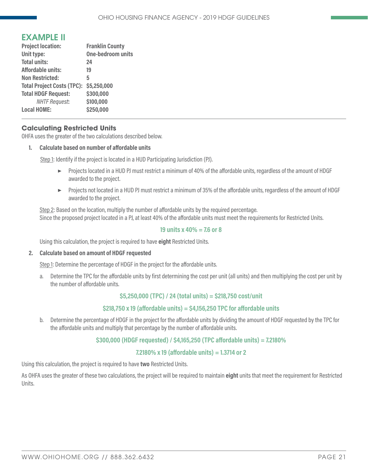# <span id="page-20-0"></span>EXAMPLE II

| <b>Project location:</b>               | <b>Franklin County</b>   |
|----------------------------------------|--------------------------|
| Unit type:                             | <b>One-bedroom units</b> |
| <b>Total units:</b>                    | 24                       |
| Affordable units:                      | 19                       |
| <b>Non Restricted:</b>                 | 5                        |
| Total Project Costs (TPC): \$5,250,000 |                          |
| <b>Total HDGF Request:</b>             | \$300,000                |
| <b>NHTF Request:</b>                   | \$100,000                |
| <b>Local HOME:</b>                     | \$250,000                |

#### **Calculating Restricted Units**

OHFA uses the greater of the two calculations described below.

#### **1. Calculate based on number of affordable units**

Step 1: Identify if the project is located in a HUD Participating Jurisdiction (PJ).

- ▶ Projects located in a HUD PJ must restrict a minimum of 40% of the affordable units, regardless of the amount of HDGF awarded to the project.
- ▶ Projects not located in a HUD PJ must restrict a minimum of 35% of the affordable units, regardless of the amount of HDGF awarded to the project.

Step 2: Based on the location, multiply the number of affordable units by the required percentage. Since the proposed project located in a PJ, at least 40% of the affordable units must meet the requirements for Restricted Units.

#### **19 units x 40% = 7.6 or 8**

Using this calculation, the project is required to have **eight** Restricted Units.

#### **2. Calculate based on amount of HDGF requested**

Step 1: Determine the percentage of HDGF in the project for the affordable units.

a. Determine the TPC for the affordable units by first determining the cost per unit (all units) and then multiplying the cost per unit by the number of affordable units.

#### **\$5,250,000 (TPC) / 24 (total units) = \$218,750 cost/unit**

#### **\$218,750 x 19 (affordable units) = \$4,156,250 TPC for affordable units**

b. Determine the percentage of HDGF in the project for the affordable units by dividing the amount of HDGF requested by the TPC for the affordable units and multiply that percentage by the number of affordable units.

#### **\$300,000 (HDGF requested) / \$4,165,250 (TPC affordable units) = 7.2180%**

#### **7.2180% x 19 (affordable units) = 1.3714 or 2**

Using this calculation, the project is required to have **two** Restricted Units.

As OHFA uses the greater of these two calculations, the project will be required to maintain **eight** units that meet the requirement for Restricted Units.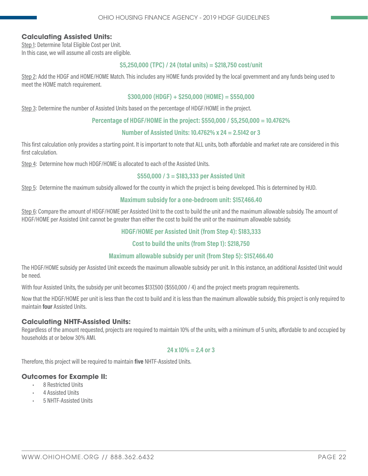#### **Calculating Assisted Units:**

Step 1: Determine Total Eligible Cost per Unit. In this case, we will assume all costs are eligible.

#### **\$5,250,000 (TPC) / 24 (total units) = \$218,750 cost/unit**

Step 2: Add the HDGF and HOME/HOME Match. This includes any HOME funds provided by the local government and any funds being used to meet the HOME match requirement.

#### **\$300,000 (HDGF) + \$250,000 (HOME) = \$550,000**

Step 3: Determine the number of Assisted Units based on the percentage of HDGF/HOME in the project.

#### **Percentage of HDGF/HOME in the project: \$550,000 / \$5,250,000 = 10.4762%**

#### **Number of Assisted Units: 10.4762% x 24 = 2.5142 or 3**

This first calculation only provides a starting point. It is important to note that ALL units, both affordable and market rate are considered in this first calculation.

Step 4: Determine how much HDGF/HOME is allocated to each of the Assisted Units.

#### **\$550,000 / 3 = \$183,333 per Assisted Unit**

Step 5: Determine the maximum subsidy allowed for the county in which the project is being developed. This is determined by HUD.

#### **Maximum subsidy for a one-bedroom unit: \$157,466.40**

Step 6: Compare the amount of HDGF/HOME per Assisted Unit to the cost to build the unit and the maximum allowable subsidy. The amount of HDGF/HOME per Assisted Unit cannot be greater than either the cost to build the unit or the maximum allowable subsidy.

#### **HDGF/HOME per Assisted Unit (from Step 4): \$183,333**

#### **Cost to build the units (from Step 1): \$218,750**

#### **Maximum allowable subsidy per unit (from Step 5): \$157,466.40**

The HDGF/HOME subsidy per Assisted Unit exceeds the maximum allowable subsidy per unit. In this instance, an additional Assisted Unit would be need.

With four Assisted Units, the subsidy per unit becomes \$137,500 (\$550,000 / 4) and the project meets program requirements.

Now that the HDGF/HOME per unit is less than the cost to build and it is less than the maximum allowable subsidy, this project is only required to maintain **four** Assisted Units.

#### **Calculating NHTF-Assisted Units:**

Regardless of the amount requested, projects are required to maintain 10% of the units, with a minimum of 5 units, affordable to and occupied by households at or below 30% AMI.

#### **24 x 10% = 2.4 or 3**

Therefore, this project will be required to maintain **five** NHTF-Assisted Units.

#### **Outcomes for Example II:**

- 8 Restricted Units
- 4 Assisted Units
- 5 NHTF-Assisted Units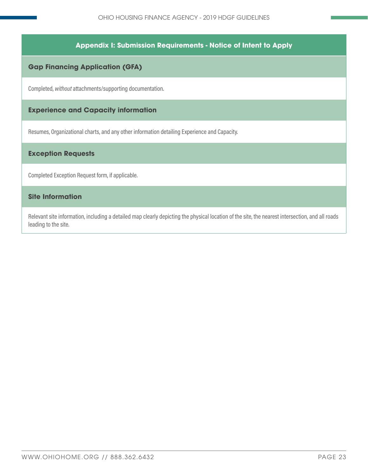#### **Appendix I: Submission Requirements - Notice of Intent to Apply**

#### <span id="page-22-0"></span>**Gap Financing Application (GFA)**

Completed, *without* attachments/supporting documentation.

### **Experience and Capacity information**

Resumes, Organizational charts, and any other information detailing Experience and Capacity.

#### **Exception Requests**

Completed Exception Request form, if applicable.

#### **Site Information**

Relevant site information, including a detailed map clearly depicting the physical location of the site, the nearest intersection, and all roads leading to the site.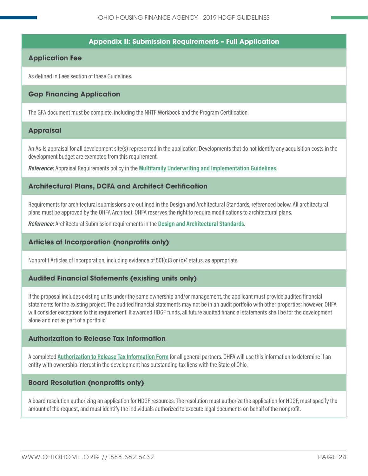#### **Appendix II: Submission Requirements – Full Application**

#### <span id="page-23-0"></span>**Application Fee**

As defined in Fees section of these Guidelines.

#### **Gap Financing Application**

The GFA document must be complete, including the NHTF Workbook and the Program Certification.

#### **Appraisal**

An As-Is appraisal for all development site(s) represented in the application. Developments that do not identify any acquisition costs in the development budget are exempted from this requirement.

*Reference*: Appraisal Requirements policy in the **[Multifamily Underwriting and Implementation Guidelines](http://ohiohome.org/ppd/documents/2018-2019-MF-UnderwritingGuidelines.pdf)**.

#### **Architectural Plans, DCFA and Architect Certification**

Requirements for architectural submissions are outlined in the Design and Architectural Standards, referenced below. All architectural plans must be approved by the OHFA Architect. OHFA reserves the right to require modifications to architectural plans.

*Reference*: Architectural Submission requirements in the **[Design and Architectural Standards](http://ohiohome.org/ppd/documents/2018-2019-ArchitecturalStandards.pdf)**.

#### **Articles of Incorporation (nonprofits only)**

Nonprofit Articles of Incorporation, including evidence of 501(c)3 or (c)4 status, as appropriate.

#### **Audited Financial Statements (existing units only)**

If the proposal includes existing units under the same ownership and/or management, the applicant must provide audited financial statements for the existing project. The audited financial statements may not be in an audit portfolio with other properties; however, OHFA will consider exceptions to this requirement. If awarded HDGF funds, all future audited financial statements shall be for the development alone and not as part of a portfolio.

#### **Authorization to Release Tax Information**

A completed **[Authorization to Release Tax Information Form](https://ohiohome.org/ppd/documents/TaxReleaseAuthorization.pdf)** for all general partners. OHFA will use this information to determine if an entity with ownership interest in the development has outstanding tax liens with the State of Ohio.

#### **Board Resolution (nonprofits only)**

A board resolution authorizing an application for HDGF resources. The resolution must authorize the application for HDGF, must specify the amount of the request, and must identify the individuals authorized to execute legal documents on behalf of the nonprofit.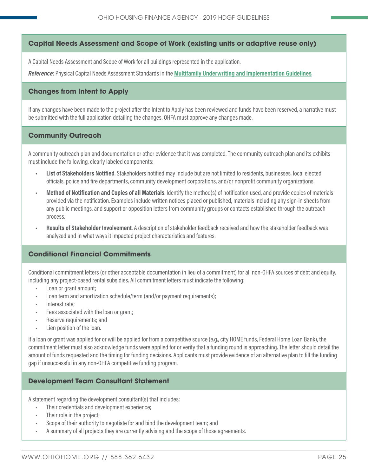#### **Capital Needs Assessment and Scope of Work (existing units or adaptive reuse only)**

A Capital Needs Assessment and Scope of Work for all buildings represented in the application.

*Reference*: Physical Capital Needs Assessment Standards in the **[Multifamily Underwriting and Implementation Guidelines](http://ohiohome.org/ppd/documents/2018-2019-MF-UnderwritingGuidelines.pdf)**.

#### **Changes from Intent to Apply**

If any changes have been made to the project after the Intent to Apply has been reviewed and funds have been reserved, a narrative must be submitted with the full application detailing the changes. OHFA must approve any changes made.

#### **Community Outreach**

A community outreach plan and documentation or other evidence that it was completed. The community outreach plan and its exhibits must include the following, clearly labeled components:

- **• List of Stakeholders Notified**. Stakeholders notified may include but are not limited to residents, businesses, local elected officials, police and fire departments, community development corporations, and/or nonprofit community organizations.
- **• Method of Notification and Copies of all Materials**. Identify the method(s) of notification used, and provide copies of materials provided via the notification. Examples include written notices placed or published, materials including any sign-in sheets from any public meetings, and support or opposition letters from community groups or contacts established through the outreach process.
- **• Results of Stakeholder Involvement**. A description of stakeholder feedback received and how the stakeholder feedback was analyzed and in what ways it impacted project characteristics and features.

#### **Conditional Financial Commitments**

Conditional commitment letters (or other acceptable documentation in lieu of a commitment) for all non-OHFA sources of debt and equity, including any project-based rental subsidies. All commitment letters must indicate the following:

- Loan or grant amount;
- Loan term and amortization schedule/term (and/or payment requirements);
- Interest rate;
- Fees associated with the loan or grant;
- Reserve requirements; and
- Lien position of the loan.

If a loan or grant was applied for or will be applied for from a competitive source (e.g., city HOME funds, Federal Home Loan Bank), the commitment letter must also acknowledge funds were applied for or verify that a funding round is approaching. The letter should detail the amount of funds requested and the timing for funding decisions. Applicants must provide evidence of an alternative plan to fill the funding gap if unsuccessful in any non-OHFA competitive funding program.

#### **Development Team Consultant Statement**

A statement regarding the development consultant(s) that includes:

- Their credentials and development experience;
- Their role in the project;
- Scope of their authority to negotiate for and bind the development team; and
- A summary of all projects they are currently advising and the scope of those agreements.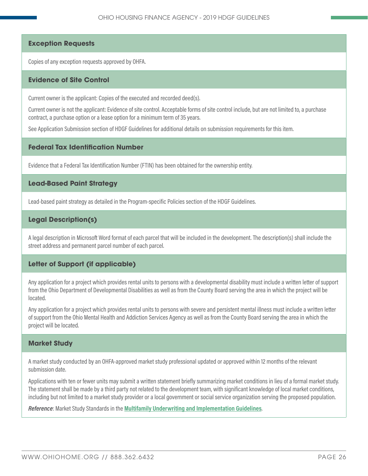#### **Exception Requests**

Copies of any exception requests approved by OHFA.

#### **Evidence of Site Control**

Current owner is the applicant: Copies of the executed and recorded deed(s).

Current owner is not the applicant: Evidence of site control. Acceptable forms of site control include, but are not limited to, a purchase contract, a purchase option or a lease option for a minimum term of 35 years.

See Application Submission section of HDGF Guidelines for additional details on submission requirements for this item.

#### **Federal Tax Identification Number**

Evidence that a Federal Tax Identification Number (FTIN) has been obtained for the ownership entity.

#### **Lead-Based Paint Strategy**

Lead-based paint strategy as detailed in the Program-specific Policies section of the HDGF Guidelines.

#### **Legal Description(s)**

A legal description in Microsoft Word format of each parcel that will be included in the development. The description(s) shall include the street address and permanent parcel number of each parcel.

#### **Letter of Support (if applicable)**

Any application for a project which provides rental units to persons with a developmental disability must include a written letter of support from the Ohio Department of Developmental Disabilities as well as from the County Board serving the area in which the project will be located.

Any application for a project which provides rental units to persons with severe and persistent mental illness must include a written letter of support from the Ohio Mental Health and Addiction Services Agency as well as from the County Board serving the area in which the project will be located.

#### **Market Study**

A market study conducted by an OHFA-approved market study professional updated or approved within 12 months of the relevant submission date.

Applications with ten or fewer units may submit a written statement briefly summarizing market conditions in lieu of a formal market study. The statement shall be made by a third party not related to the development team, with significant knowledge of local market conditions, including but not limited to a market study provider or a local government or social service organization serving the proposed population.

*Reference*: Market Study Standards in the **[Multifamily Underwriting and Implementation Guidelines](http://ohiohome.org/ppd/documents/2018-2019-MF-UnderwritingGuidelines.pdf)**.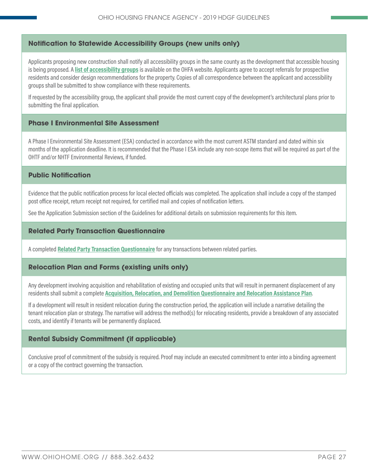#### **Notification to Statewide Accessibility Groups (new units only)**

Applicants proposing new construction shall notify all accessibility groups in the same county as the development that accessible housing is being proposed. A **[list of accessibility groups](http://ohiohome.org/ppd/documents/AccessibilityAgencies-2017.xlsx)** is available on the OHFA website. Applicants agree to accept referrals for prospective residents and consider design recommendations for the property. Copies of all correspondence between the applicant and accessibility groups shall be submitted to show compliance with these requirements.

If requested by the accessibility group, the applicant shall provide the most current copy of the development's architectural plans prior to submitting the final application.

#### **Phase I Environmental Site Assessment**

A Phase I Environmental Site Assessment (ESA) conducted in accordance with the most current ASTM standard and dated within six months of the application deadline. It is recommended that the Phase I ESA include any non-scope items that will be required as part of the OHTF and/or NHTF Environmental Reviews, if funded.

#### **Public Notification**

Evidence that the public notification process for local elected officials was completed. The application shall include a copy of the stamped post office receipt, return receipt not required, for certified mail and copies of notification letters.

See the Application Submission section of the Guidelines for additional details on submission requirements for this item.

#### **Related Party Transaction Questionnaire**

A completed **[Related Party Transaction Questionnaire](https://ohiohome.org/ppd/documents/RelatedPartyTransactionQuestionnaire.pdf)** for any transactions between related parties.

#### **Relocation Plan and Forms (existing units only)**

Any development involving acquisition and rehabilitation of existing and occupied units that will result in permanent displacement of any residents shall submit a complete **[Acquisition, Relocation, and Demolition Questionnaire and Relocation Assistance Plan](https://www.google.com/url?q=https://ohiohome.org/ppd/documents/AcquisitionRelocationDemolitionQuestionnaire.docx&sa=U&ved=0ahUKEwj3147E54TZAhUJbq0KHfK_DG0QFggEMAA&client=internal-uds-cse&cx=017147130776823599764:wc26djwfha4&usg=AOvVaw1H47wtbagHK4C-1Iq-33Fo)**.

If a development will result in resident relocation during the construction period, the application will include a narrative detailing the tenant relocation plan or strategy. The narrative will address the method(s) for relocating residents, provide a breakdown of any associated costs, and identify if tenants will be permanently displaced.

#### **Rental Subsidy Commitment (if applicable)**

Conclusive proof of commitment of the subsidy is required. Proof may include an executed commitment to enter into a binding agreement or a copy of the contract governing the transaction.